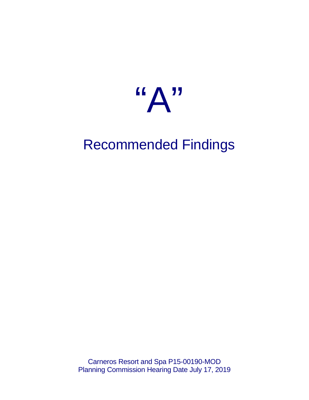

# Recommended Findings

Carneros Resort and Spa P15-00190-MOD Planning Commission Hearing Date July 17, 2019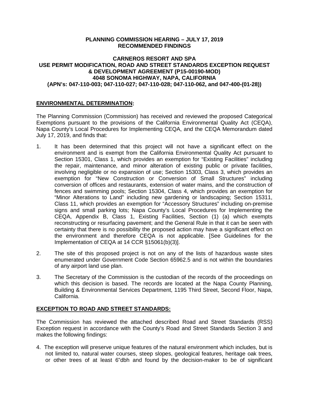## **PLANNING COMMISSION HEARING – JULY 17, 2019 RECOMMENDED FINDINGS**

## **CARNEROS RESORT AND SPA USE PERMIT MODIFICATION, ROAD AND STREET STANDARDS EXCEPTION REQUEST & DEVELOPMENT AGREEMENT (P15-00190-MOD) 4048 SONOMA HIGHWAY, NAPA, CALIFORNIA (APN's: 047-110-003; 047-110-027; 047-110-028; 047-110-062, and 047-400-(01-28))**

## **ENVIRONMENTAL DETERMINATION:**

The Planning Commission (Commission) has received and reviewed the proposed Categorical Exemptions pursuant to the provisions of the California Environmental Quality Act (CEQA), Napa County's Local Procedures for Implementing CEQA, and the CEQA Memorandum dated July 17, 2019, and finds that:

- 1. It has been determined that this project will not have a significant effect on the environment and is exempt from the California Environmental Quality Act pursuant to Section 15301, Class 1, which provides an exemption for "Existing Facilities" including the repair, maintenance, and minor alteration of existing public or private facilities, involving negligible or no expansion of use; Section 15303, Class 3, which provides an exemption for "New Construction or Conversion of Small Structures" including conversion of offices and restaurants, extension of water mains, and the construction of fences and swimming pools; Section 15304, Class 4, which provides an exemption for "Minor Alterations to Land" including new gardening or landscaping; Section 15311, Class 11, which provides an exemption for "Accessory Structures" including on-premise signs and small parking lots; Napa County's Local Procedures for Implementing the CEQA, Appendix B, Class 1, Existing Facilities, Section (1) (a) which exempts reconstructing or resurfacing pavement; and the General Rule in that it can be seen with certainty that there is no possibility the proposed action may have a significant effect on the environment and therefore CEQA is not applicable. [See Guidelines for the Implementation of CEQA at 14 CCR §15061(b)(3)].
- 2. The site of this proposed project is not on any of the lists of hazardous waste sites enumerated under Government Code Section 65962.5 and is not within the boundaries of any airport land use plan.
- 3. The Secretary of the Commission is the custodian of the records of the proceedings on which this decision is based. The records are located at the Napa County Planning, Building & Environmental Services Department, 1195 Third Street, Second Floor, Napa, California.

#### **EXCEPTION TO ROAD AND STREET STANDARDS:**

The Commission has reviewed the attached described Road and Street Standards (RSS) Exception request in accordance with the County's Road and Street Standards Section 3 and makes the following findings:

4. The exception will preserve unique features of the natural environment which includes, but is not limited to, natural water courses, steep slopes, geological features, heritage oak trees, or other trees of at least 6"dbh and found by the decision-maker to be of significant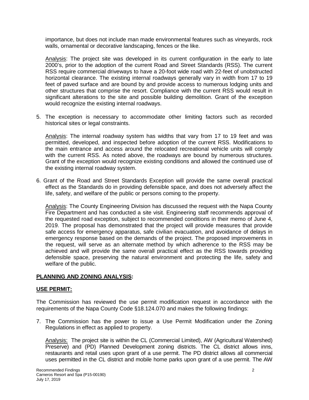importance, but does not include man made environmental features such as vineyards, rock walls, ornamental or decorative landscaping, fences or the like.

Analysis: The project site was developed in its current configuration in the early to late 2000's, prior to the adoption of the current Road and Street Standards (RSS). The current RSS require commercial driveways to have a 20-foot wide road with 22-feet of unobstructed horizontal clearance. The existing internal roadways generally vary in width from 17 to 19 feet of paved surface and are bound by and provide access to numerous lodging units and other structures that comprise the resort. Compliance with the current RSS would result in significant alterations to the site and possible building demolition. Grant of the exception would recognize the existing internal roadways.

5. The exception is necessary to accommodate other limiting factors such as recorded historical sites or legal constraints.

Analysis: The internal roadway system has widths that vary from 17 to 19 feet and was permitted, developed, and inspected before adoption of the current RSS. Modifications to the main entrance and access around the relocated recreational vehicle units will comply with the current RSS. As noted above, the roadways are bound by numerous structures. Grant of the exception would recognize existing conditions and allowed the continued use of the existing internal roadway system.

6. Grant of the Road and Street Standards Exception will provide the same overall practical effect as the Standards do in providing defensible space, and does not adversely affect the life, safety, and welfare of the public or persons coming to the property.

Analysis: The County Engineering Division has discussed the request with the Napa County Fire Department and has conducted a site visit. Engineering staff recommends approval of the requested road exception, subject to recommended conditions in their memo of June 4, 2019. The proposal has demonstrated that the project will provide measures that provide safe access for emergency apparatus, safe civilian evacuation, and avoidance of delays in emergency response based on the demands of the project. The proposed improvements in the request, will serve as an alternate method by which adherence to the RSS may be achieved and will provide the same overall practical effect as the RSS towards providing defensible space, preserving the natural environment and protecting the life, safety and welfare of the public.

## **PLANNING AND ZONING ANALYSIS:**

#### **USE PERMIT:**

The Commission has reviewed the use permit modification request in accordance with the requirements of the Napa County Code §18.124.070 and makes the following findings:

7. The Commission has the power to issue a Use Permit Modification under the Zoning Regulations in effect as applied to property.

Analysis: The project site is within the CL (Commercial Limited), AW (Agricultural Watershed) Preserve) and (PD) Planned Development zoning districts. The CL district allows inns, restaurants and retail uses upon grant of a use permit. The PD district allows all commercial uses permitted in the CL district and mobile home parks upon grant of a use permit. The AW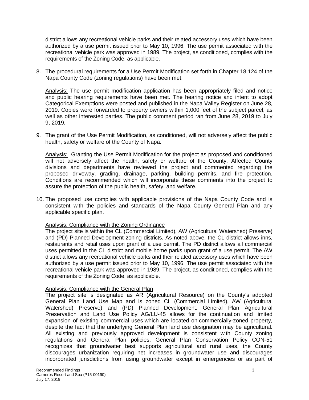district allows any recreational vehicle parks and their related accessory uses which have been authorized by a use permit issued prior to May 10, 1996. The use permit associated with the recreational vehicle park was approved in 1989. The project, as conditioned, complies with the requirements of the Zoning Code, as applicable.

8. The procedural requirements for a Use Permit Modification set forth in Chapter 18.124 of the Napa County Code (zoning regulations) have been met.

Analysis: The use permit modification application has been appropriately filed and notice and public hearing requirements have been met. The hearing notice and intent to adopt Categorical Exemptions were posted and published in the Napa Valley Register on June 28, 2019. Copies were forwarded to property owners within 1,000 feet of the subject parcel, as well as other interested parties. The public comment period ran from June 28, 2019 to July 9, 2019.

9. The grant of the Use Permit Modification, as conditioned, will not adversely affect the public health, safety or welfare of the County of Napa.

Analysis: Granting the Use Permit Modification for the project as proposed and conditioned will not adversely affect the health, safety or welfare of the County. Affected County divisions and departments have reviewed the project and commented regarding the proposed driveway, grading, drainage, parking, building permits, and fire protection. Conditions are recommended which will incorporate these comments into the project to assure the protection of the public health, safety, and welfare.

10. The proposed use complies with applicable provisions of the Napa County Code and is consistent with the policies and standards of the Napa County General Plan and any applicable specific plan.

# Analysis: Compliance with the Zoning Ordinance

The project site is within the CL (Commercial Limited), AW (Agricultural Watershed) Preserve) and (PD) Planned Development zoning districts. As noted above, the CL district allows inns, restaurants and retail uses upon grant of a use permit. The PD district allows all commercial uses permitted in the CL district and mobile home parks upon grant of a use permit. The AW district allows any recreational vehicle parks and their related accessory uses which have been authorized by a use permit issued prior to May 10, 1996. The use permit associated with the recreational vehicle park was approved in 1989. The project, as conditioned, complies with the requirements of the Zoning Code, as applicable.

## Analysis: Compliance with the General Plan

The project site is designated as AR (Agricultural Resource) on the County's adopted General Plan Land Use Map and is zoned CL (Commercial Limited), AW (Agricultural Watershed) Preserve) and (PD) Planned Development. General Plan Agricultural Preservation and Land Use Policy AG/LU-45 allows for the continuation and limited expansion of existing commercial uses which are located on commercially-zoned property, despite the fact that the underlying General Plan land use designation may be agricultural. All existing and previously approved development is consistent with County zoning regulations and General Plan policies. General Plan Conservation Policy CON-51 recognizes that groundwater best supports agricultural and rural uses, the County discourages urbanization requiring net increases in groundwater use and discourages incorporated jurisdictions from using groundwater except in emergencies or as part of